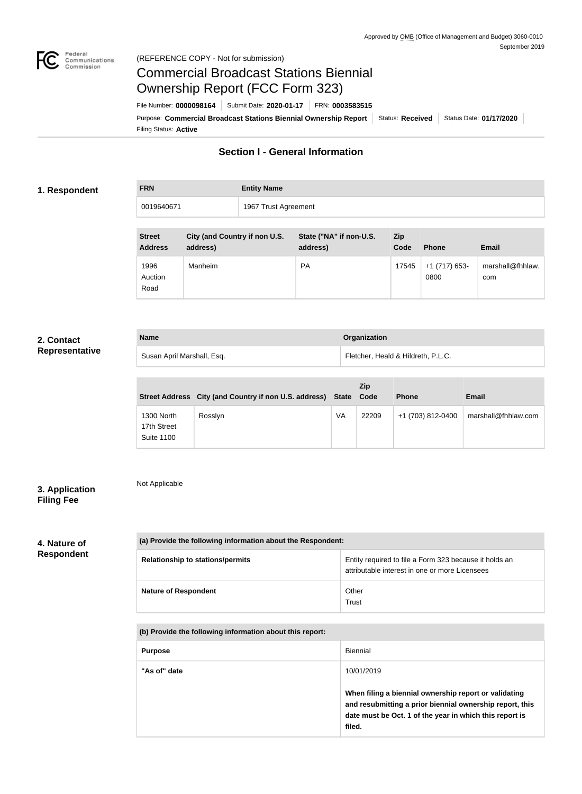

# Commercial Broadcast Stations Biennial Ownership Report (FCC Form 323)

Filing Status: **Active** Purpose: Commercial Broadcast Stations Biennial Ownership Report Status: Received Status Date: 01/17/2020 File Number: **0000098164** Submit Date: **2020-01-17** FRN: **0003583515**

# **Section I - General Information**

### **1. Respondent**

| <b>FRN</b> | <b>Entity Name</b>   |
|------------|----------------------|
| 0019640671 | 1967 Trust Agreement |

| <b>Street</b><br><b>Address</b> | City (and Country if non U.S.<br>address) | State ("NA" if non-U.S.<br>address) | <b>Zip</b><br>Code | <b>Phone</b>          | <b>Email</b>            |
|---------------------------------|-------------------------------------------|-------------------------------------|--------------------|-----------------------|-------------------------|
| 1996<br>Auction<br>Road         | Manheim                                   | <b>PA</b>                           | 17545              | +1 (717) 653-<br>0800 | marshall@fhhlaw.<br>com |

## **2. Contact Representative**

| <b>Name</b>                | Organization                       |
|----------------------------|------------------------------------|
| Susan April Marshall, Esq. | Fletcher, Heald & Hildreth, P.L.C. |

|                                                | Street Address City (and Country if non U.S. address) State |    | Zip<br>Code | <b>Phone</b>      | <b>Email</b>        |
|------------------------------------------------|-------------------------------------------------------------|----|-------------|-------------------|---------------------|
| 1300 North<br>17th Street<br><b>Suite 1100</b> | Rosslyn                                                     | VA | 22209       | +1 (703) 812-0400 | marshall@fhhlaw.com |

# **3. Application Filing Fee**

Not Applicable

#### **4. Nature of Respondent**

| (a) Provide the following information about the Respondent: |                                                                                                          |  |  |
|-------------------------------------------------------------|----------------------------------------------------------------------------------------------------------|--|--|
| <b>Relationship to stations/permits</b>                     | Entity required to file a Form 323 because it holds an<br>attributable interest in one or more Licensees |  |  |
| <b>Nature of Respondent</b>                                 | Other<br>Trust                                                                                           |  |  |

#### **(b) Provide the following information about this report:**

| <b>Purpose</b> | <b>Biennial</b>                                                                                                                                                                        |
|----------------|----------------------------------------------------------------------------------------------------------------------------------------------------------------------------------------|
| "As of" date   | 10/01/2019                                                                                                                                                                             |
|                | When filing a biennial ownership report or validating<br>and resubmitting a prior biennial ownership report, this<br>date must be Oct. 1 of the year in which this report is<br>filed. |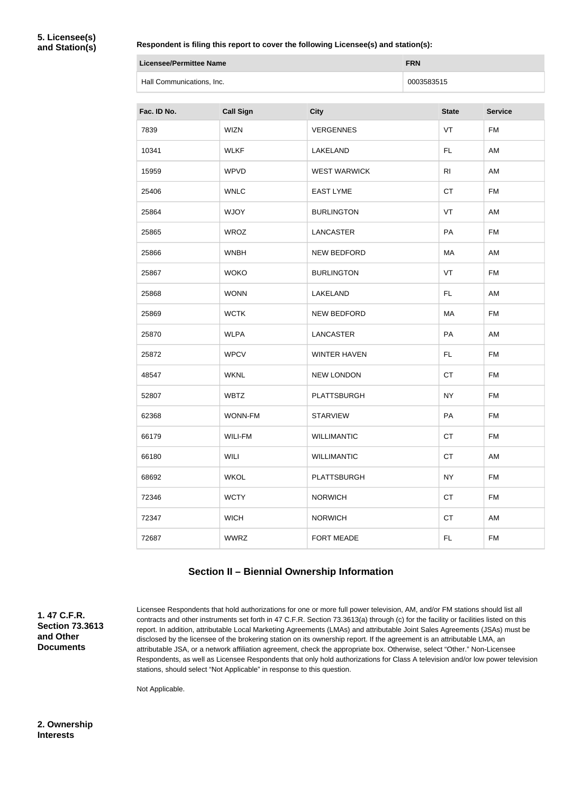#### **Respondent is filing this report to cover the following Licensee(s) and station(s):**

| Licensee/Permittee Name   | <b>FRN</b> |
|---------------------------|------------|
| Hall Communications, Inc. | 0003583515 |

| Fac. ID No. | <b>Call Sign</b> | <b>City</b>         | <b>State</b>   | <b>Service</b> |
|-------------|------------------|---------------------|----------------|----------------|
| 7839        | <b>WIZN</b>      | <b>VERGENNES</b>    | VT             | <b>FM</b>      |
| 10341       | <b>WLKF</b>      | LAKELAND            | <b>FL</b>      | AM             |
| 15959       | <b>WPVD</b>      | <b>WEST WARWICK</b> | R <sub>l</sub> | AM             |
| 25406       | <b>WNLC</b>      | <b>EAST LYME</b>    | <b>CT</b>      | <b>FM</b>      |
| 25864       | <b>WJOY</b>      | <b>BURLINGTON</b>   | VT             | AM             |
| 25865       | <b>WROZ</b>      | LANCASTER           | PA             | <b>FM</b>      |
| 25866       | <b>WNBH</b>      | <b>NEW BEDFORD</b>  | MA             | AM             |
| 25867       | <b>WOKO</b>      | <b>BURLINGTON</b>   | VT             | <b>FM</b>      |
| 25868       | <b>WONN</b>      | LAKELAND            | FL.            | AM             |
| 25869       | <b>WCTK</b>      | <b>NEW BEDFORD</b>  | MA             | <b>FM</b>      |
| 25870       | <b>WLPA</b>      | <b>LANCASTER</b>    | PA             | AM             |
| 25872       | <b>WPCV</b>      | <b>WINTER HAVEN</b> | FL             | <b>FM</b>      |
| 48547       | <b>WKNL</b>      | <b>NEW LONDON</b>   | <b>CT</b>      | <b>FM</b>      |
| 52807       | <b>WBTZ</b>      | <b>PLATTSBURGH</b>  | <b>NY</b>      | <b>FM</b>      |
| 62368       | <b>WONN-FM</b>   | <b>STARVIEW</b>     | PA             | <b>FM</b>      |
| 66179       | <b>WILI-FM</b>   | <b>WILLIMANTIC</b>  | <b>CT</b>      | FM             |
| 66180       | <b>WILI</b>      | <b>WILLIMANTIC</b>  | CT             | AM             |
| 68692       | <b>WKOL</b>      | <b>PLATTSBURGH</b>  | <b>NY</b>      | <b>FM</b>      |
| 72346       | <b>WCTY</b>      | <b>NORWICH</b>      | CT             | <b>FM</b>      |
| 72347       | <b>WICH</b>      | <b>NORWICH</b>      | <b>CT</b>      | AM             |
| 72687       | <b>WWRZ</b>      | FORT MEADE          | FL.            | <b>FM</b>      |

# **Section II – Biennial Ownership Information**

**1. 47 C.F.R. Section 73.3613 and Other Documents**

Licensee Respondents that hold authorizations for one or more full power television, AM, and/or FM stations should list all contracts and other instruments set forth in 47 C.F.R. Section 73.3613(a) through (c) for the facility or facilities listed on this report. In addition, attributable Local Marketing Agreements (LMAs) and attributable Joint Sales Agreements (JSAs) must be disclosed by the licensee of the brokering station on its ownership report. If the agreement is an attributable LMA, an attributable JSA, or a network affiliation agreement, check the appropriate box. Otherwise, select "Other." Non-Licensee Respondents, as well as Licensee Respondents that only hold authorizations for Class A television and/or low power television stations, should select "Not Applicable" in response to this question.

Not Applicable.

**2. Ownership Interests**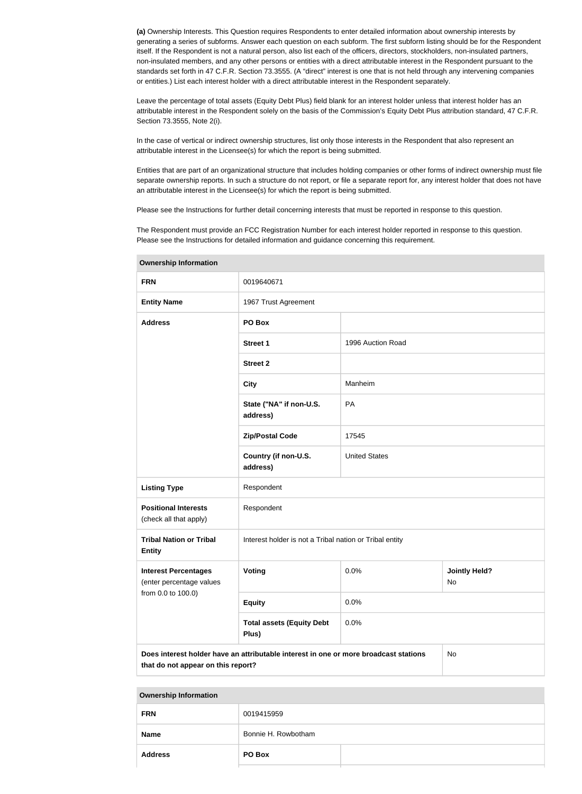**(a)** Ownership Interests. This Question requires Respondents to enter detailed information about ownership interests by generating a series of subforms. Answer each question on each subform. The first subform listing should be for the Respondent itself. If the Respondent is not a natural person, also list each of the officers, directors, stockholders, non-insulated partners, non-insulated members, and any other persons or entities with a direct attributable interest in the Respondent pursuant to the standards set forth in 47 C.F.R. Section 73.3555. (A "direct" interest is one that is not held through any intervening companies or entities.) List each interest holder with a direct attributable interest in the Respondent separately.

Leave the percentage of total assets (Equity Debt Plus) field blank for an interest holder unless that interest holder has an attributable interest in the Respondent solely on the basis of the Commission's Equity Debt Plus attribution standard, 47 C.F.R. Section 73.3555, Note 2(i).

In the case of vertical or indirect ownership structures, list only those interests in the Respondent that also represent an attributable interest in the Licensee(s) for which the report is being submitted.

Entities that are part of an organizational structure that includes holding companies or other forms of indirect ownership must file separate ownership reports. In such a structure do not report, or file a separate report for, any interest holder that does not have an attributable interest in the Licensee(s) for which the report is being submitted.

Please see the Instructions for further detail concerning interests that must be reported in response to this question.

The Respondent must provide an FCC Registration Number for each interest holder reported in response to this question. Please see the Instructions for detailed information and guidance concerning this requirement.

| $\bullet$ wnoronip inioniagoni                                                                                                          |                                                         |                      |                            |  |
|-----------------------------------------------------------------------------------------------------------------------------------------|---------------------------------------------------------|----------------------|----------------------------|--|
| <b>FRN</b>                                                                                                                              | 0019640671                                              |                      |                            |  |
| <b>Entity Name</b>                                                                                                                      | 1967 Trust Agreement                                    |                      |                            |  |
| <b>Address</b>                                                                                                                          | PO Box                                                  |                      |                            |  |
|                                                                                                                                         | Street 1                                                | 1996 Auction Road    |                            |  |
|                                                                                                                                         | <b>Street 2</b>                                         |                      |                            |  |
|                                                                                                                                         | <b>City</b>                                             | Manheim              |                            |  |
|                                                                                                                                         | State ("NA" if non-U.S.<br>address)                     | PA                   |                            |  |
|                                                                                                                                         | <b>Zip/Postal Code</b>                                  | 17545                |                            |  |
|                                                                                                                                         | Country (if non-U.S.<br>address)                        | <b>United States</b> |                            |  |
| <b>Listing Type</b>                                                                                                                     | Respondent                                              |                      |                            |  |
| <b>Positional Interests</b><br>(check all that apply)                                                                                   | Respondent                                              |                      |                            |  |
| <b>Tribal Nation or Tribal</b><br><b>Entity</b>                                                                                         | Interest holder is not a Tribal nation or Tribal entity |                      |                            |  |
| <b>Interest Percentages</b><br>(enter percentage values                                                                                 | Voting                                                  | 0.0%                 | <b>Jointly Held?</b><br>No |  |
| from 0.0 to 100.0)                                                                                                                      | <b>Equity</b>                                           | 0.0%                 |                            |  |
|                                                                                                                                         | <b>Total assets (Equity Debt</b><br>Plus)               | 0.0%                 |                            |  |
| Does interest holder have an attributable interest in one or more broadcast stations<br><b>No</b><br>that do not appear on this report? |                                                         |                      |                            |  |

**Ownership Information**

|  | <b>Ownership Information</b> |
|--|------------------------------|
|  |                              |

| <b>FRN</b>     | 0019415959          |  |
|----------------|---------------------|--|
| <b>Name</b>    | Bonnie H. Rowbotham |  |
| <b>Address</b> | PO Box              |  |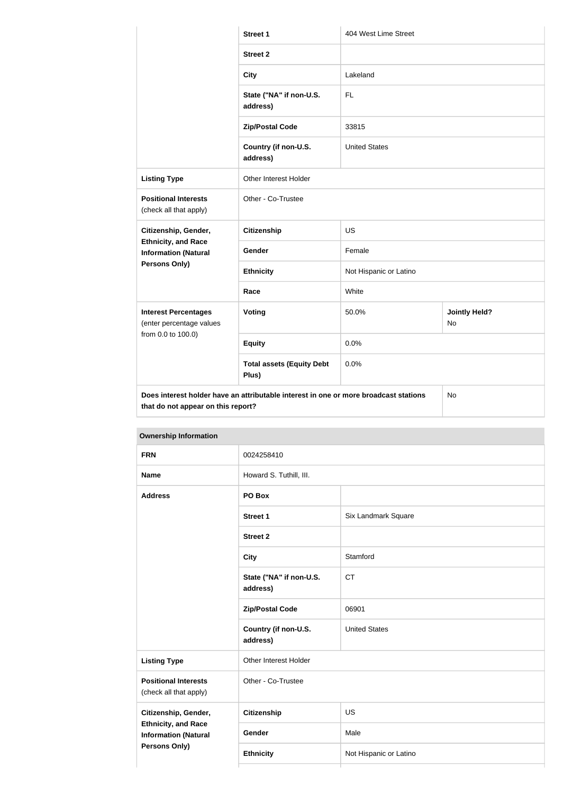|                                                           | <b>Street 1</b>                                                                      | 404 West Lime Street   |                                   |  |
|-----------------------------------------------------------|--------------------------------------------------------------------------------------|------------------------|-----------------------------------|--|
|                                                           | <b>Street 2</b>                                                                      |                        |                                   |  |
|                                                           | <b>City</b>                                                                          | Lakeland               |                                   |  |
|                                                           | State ("NA" if non-U.S.<br>address)                                                  | <b>FL</b>              |                                   |  |
|                                                           | <b>Zip/Postal Code</b>                                                               | 33815                  |                                   |  |
|                                                           | Country (if non-U.S.<br>address)                                                     | <b>United States</b>   |                                   |  |
| <b>Listing Type</b>                                       | Other Interest Holder                                                                |                        |                                   |  |
| <b>Positional Interests</b><br>(check all that apply)     | Other - Co-Trustee                                                                   |                        |                                   |  |
| Citizenship, Gender,                                      | <b>Citizenship</b>                                                                   | <b>US</b>              |                                   |  |
| <b>Ethnicity, and Race</b><br><b>Information (Natural</b> | Gender                                                                               | Female                 |                                   |  |
| <b>Persons Only)</b>                                      | <b>Ethnicity</b>                                                                     | Not Hispanic or Latino |                                   |  |
|                                                           | Race                                                                                 | White                  |                                   |  |
| <b>Interest Percentages</b><br>(enter percentage values   | Voting                                                                               | 50.0%                  | <b>Jointly Held?</b><br><b>No</b> |  |
| from 0.0 to 100.0)                                        | <b>Equity</b>                                                                        | 0.0%                   |                                   |  |
|                                                           | <b>Total assets (Equity Debt</b><br>Plus)                                            | 0.0%                   |                                   |  |
| that do not appear on this report?                        | Does interest holder have an attributable interest in one or more broadcast stations |                        | <b>No</b>                         |  |

**Ownership Information FRN** 0024258410 **Name** Howard S. Tuthill, III. **Address PO Box Street 1** Six Landmark Square **Street 2 City** Stamford **State ("NA" if non-U.S. address)** CT **Zip/Postal Code** 06901 **Country (if non-U.S. address)** United States **Listing Type City Communist Property** Other Interest Holder **Positional Interests** (check all that apply) Other - Co-Trustee **Citizenship, Gender, Ethnicity, and Race Information (Natural Persons Only) Citizenship** US **Gender** Male **Ethnicity** Not Hispanic or Latino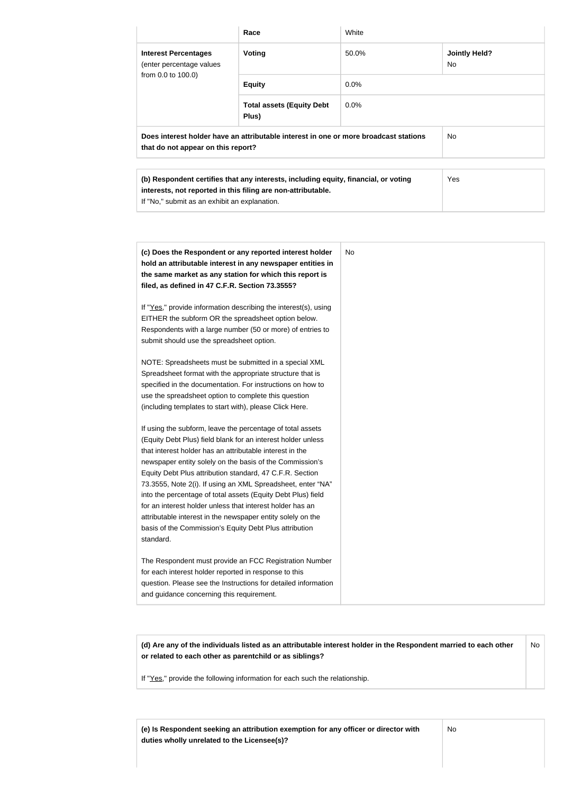|                                                                                                                                                     | Race                                      | White   |                             |
|-----------------------------------------------------------------------------------------------------------------------------------------------------|-------------------------------------------|---------|-----------------------------|
| <b>Interest Percentages</b><br>(enter percentage values                                                                                             | Voting                                    | 50.0%   | <b>Jointly Held?</b><br>No. |
| from 0.0 to 100.0)                                                                                                                                  | <b>Equity</b>                             | $0.0\%$ |                             |
|                                                                                                                                                     | <b>Total assets (Equity Debt</b><br>Plus) | $0.0\%$ |                             |
| Does interest holder have an attributable interest in one or more broadcast stations<br>that do not appear on this report?                          |                                           |         | No.                         |
|                                                                                                                                                     |                                           |         |                             |
| (b) Respondent certifies that any interests, including equity, financial, or voting<br>interests, not reported in this filing are non-attributable. |                                           |         | <b>Yes</b>                  |

If "No," submit as an exhibit an explanation.

| (c) Does the Respondent or any reported interest holder<br>hold an attributable interest in any newspaper entities in<br>the same market as any station for which this report is<br>filed, as defined in 47 C.F.R. Section 73.3555?                                                                                                                                                                                                                                                                                                                                                                                                              | No |
|--------------------------------------------------------------------------------------------------------------------------------------------------------------------------------------------------------------------------------------------------------------------------------------------------------------------------------------------------------------------------------------------------------------------------------------------------------------------------------------------------------------------------------------------------------------------------------------------------------------------------------------------------|----|
| If "Yes," provide information describing the interest(s), using<br>EITHER the subform OR the spreadsheet option below.<br>Respondents with a large number (50 or more) of entries to<br>submit should use the spreadsheet option.                                                                                                                                                                                                                                                                                                                                                                                                                |    |
| NOTE: Spreadsheets must be submitted in a special XML<br>Spreadsheet format with the appropriate structure that is<br>specified in the documentation. For instructions on how to<br>use the spreadsheet option to complete this question<br>(including templates to start with), please Click Here.                                                                                                                                                                                                                                                                                                                                              |    |
| If using the subform, leave the percentage of total assets<br>(Equity Debt Plus) field blank for an interest holder unless<br>that interest holder has an attributable interest in the<br>newspaper entity solely on the basis of the Commission's<br>Equity Debt Plus attribution standard, 47 C.F.R. Section<br>73.3555, Note 2(i). If using an XML Spreadsheet, enter "NA"<br>into the percentage of total assets (Equity Debt Plus) field<br>for an interest holder unless that interest holder has an<br>attributable interest in the newspaper entity solely on the<br>basis of the Commission's Equity Debt Plus attribution<br>standard. |    |
| The Respondent must provide an FCC Registration Number<br>for each interest holder reported in response to this<br>question. Please see the Instructions for detailed information<br>and guidance concerning this requirement.                                                                                                                                                                                                                                                                                                                                                                                                                   |    |

**(d) Are any of the individuals listed as an attributable interest holder in the Respondent married to each other or related to each other as parentchild or as siblings?** No

If "Yes," provide the following information for each such the relationship.

**(e) Is Respondent seeking an attribution exemption for any officer or director with duties wholly unrelated to the Licensee(s)?**